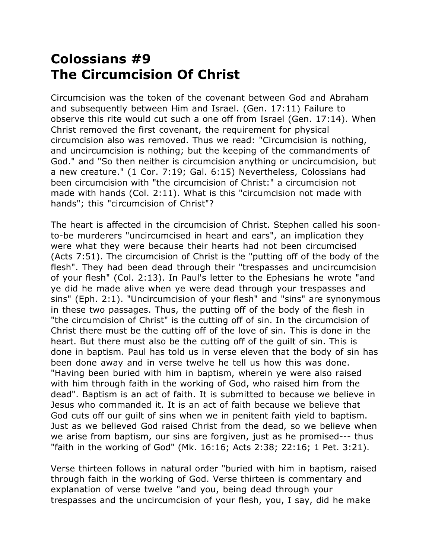## **Colossians #9 The Circumcision Of Christ**

Circumcision was the token of the covenant between God and Abraham and subsequently between Him and Israel. (Gen. 17:11) Failure to observe this rite would cut such a one off from Israel (Gen. 17:14). When Christ removed the first covenant, the requirement for physical circumcision also was removed. Thus we read: "Circumcision is nothing, and uncircumcision is nothing; but the keeping of the commandments of God." and "So then neither is circumcision anything or uncircumcision, but a new creature." (1 Cor. 7:19; Gal. 6:15) Nevertheless, Colossians had been circumcision with "the circumcision of Christ:" a circumcision not made with hands (Col. 2:11). What is this "circumcision not made with hands"; this "circumcision of Christ"?

The heart is affected in the circumcision of Christ. Stephen called his soonto-be murderers "uncircumcised in heart and ears", an implication they were what they were because their hearts had not been circumcised (Acts 7:51). The circumcision of Christ is the "putting off of the body of the flesh". They had been dead through their "trespasses and uncircumcision of your flesh" (Col. 2:13). In Paul's letter to the Ephesians he wrote "and ye did he made alive when ye were dead through your trespasses and sins" (Eph. 2:1). "Uncircumcision of your flesh" and "sins" are synonymous in these two passages. Thus, the putting off of the body of the flesh in "the circumcision of Christ" is the cutting off of sin. In the circumcision of Christ there must be the cutting off of the love of sin. This is done in the heart. But there must also be the cutting off of the guilt of sin. This is done in baptism. Paul has told us in verse eleven that the body of sin has been done away and in verse twelve he tell us how this was done. "Having been buried with him in baptism, wherein ye were also raised with him through faith in the working of God, who raised him from the dead". Baptism is an act of faith. It is submitted to because we believe in Jesus who commanded it. It is an act of faith because we believe that God cuts off our guilt of sins when we in penitent faith yield to baptism. Just as we believed God raised Christ from the dead, so we believe when we arise from baptism, our sins are forgiven, just as he promised--- thus "faith in the working of God" (Mk. 16:16; Acts 2:38; 22:16; 1 Pet. 3:21).

Verse thirteen follows in natural order "buried with him in baptism, raised through faith in the working of God. Verse thirteen is commentary and explanation of verse twelve "and you, being dead through your trespasses and the uncircumcision of your flesh, you, I say, did he make